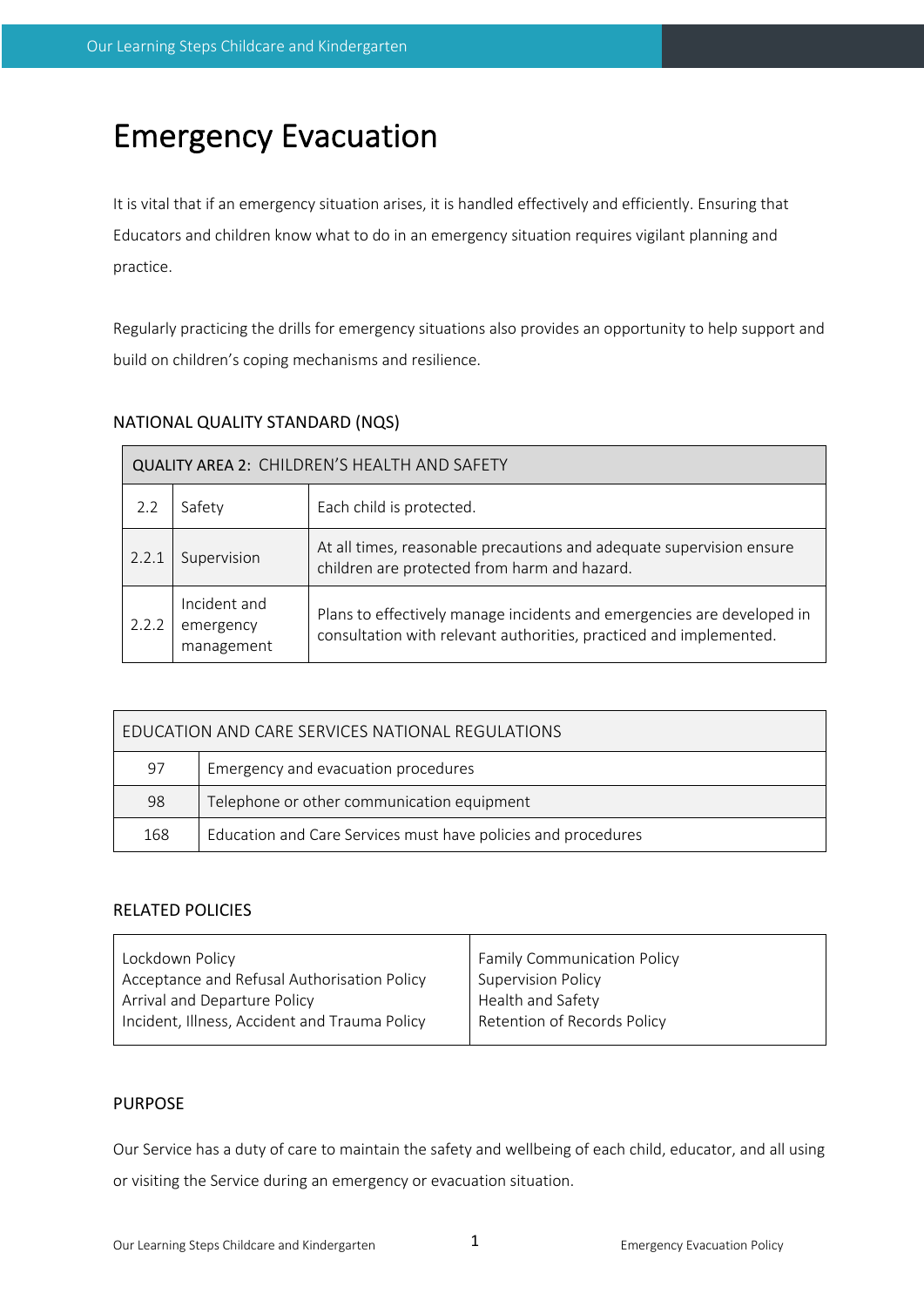# Emergency Evacuation

It is vital that if an emergency situation arises, it is handled effectively and efficiently. Ensuring that Educators and children know what to do in an emergency situation requires vigilant planning and practice.

Regularly practicing the drills for emergency situations also provides an opportunity to help support and build on children's coping mechanisms and resilience.

| NATIONAL QUALITY STANDARD (NQS) |  |  |  |  |
|---------------------------------|--|--|--|--|
|---------------------------------|--|--|--|--|

| QUALITY AREA 2: CHILDREN'S HEALTH AND SAFETY |                                         |                                                                                                                                              |  |  |
|----------------------------------------------|-----------------------------------------|----------------------------------------------------------------------------------------------------------------------------------------------|--|--|
| 2.2                                          | Safety                                  | Each child is protected.                                                                                                                     |  |  |
| 2.2.1                                        | Supervision                             | At all times, reasonable precautions and adequate supervision ensure<br>children are protected from harm and hazard.                         |  |  |
| 2.2.2                                        | Incident and<br>emergency<br>management | Plans to effectively manage incidents and emergencies are developed in<br>consultation with relevant authorities, practiced and implemented. |  |  |

| EDUCATION AND CARE SERVICES NATIONAL REGULATIONS |                                                               |  |  |
|--------------------------------------------------|---------------------------------------------------------------|--|--|
| 97                                               | Emergency and evacuation procedures                           |  |  |
| 98                                               | Telephone or other communication equipment                    |  |  |
| 168                                              | Education and Care Services must have policies and procedures |  |  |

## RELATED POLICIES

| Lockdown Policy                               | <b>Family Communication Policy</b> |  |
|-----------------------------------------------|------------------------------------|--|
| Acceptance and Refusal Authorisation Policy   | <b>Supervision Policy</b>          |  |
| Arrival and Departure Policy                  | Health and Safety                  |  |
| Incident, Illness, Accident and Trauma Policy | Retention of Records Policy        |  |
|                                               |                                    |  |

## PURPOSE

Our Service has a duty of care to maintain the safety and wellbeing of each child, educator, and all using or visiting the Service during an emergency or evacuation situation.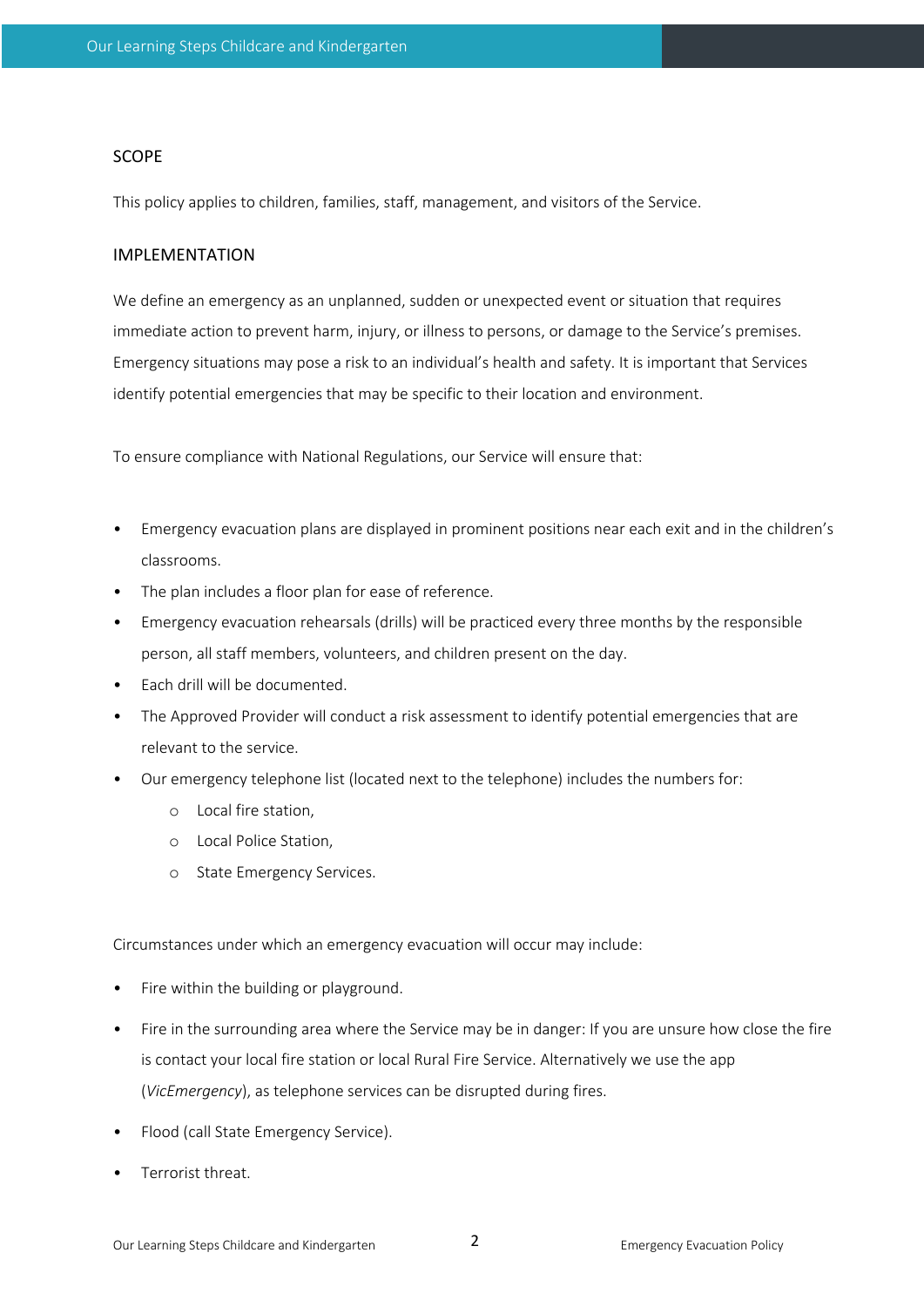#### SCOPE

This policy applies to children, families, staff, management, and visitors of the Service.

#### IMPLEMENTATION

We define an emergency as an unplanned, sudden or unexpected event or situation that requires immediate action to prevent harm, injury, or illness to persons, or damage to the Service's premises. Emergency situations may pose a risk to an individual's health and safety. It is important that Services identify potential emergencies that may be specific to their location and environment.

To ensure compliance with National Regulations, our Service will ensure that:

- Emergency evacuation plans are displayed in prominent positions near each exit and in the children's classrooms.
- The plan includes a floor plan for ease of reference.
- Emergency evacuation rehearsals (drills) will be practiced every three months by the responsible person, all staff members, volunteers, and children present on the day.
- Each drill will be documented.
- The Approved Provider will conduct a risk assessment to identify potential emergencies that are relevant to the service.
- Our emergency telephone list (located next to the telephone) includes the numbers for:
	- o Local fire station,
	- o Local Police Station,
	- o State Emergency Services.

Circumstances under which an emergency evacuation will occur may include:

- Fire within the building or playground.
- Fire in the surrounding area where the Service may be in danger: If you are unsure how close the fire is contact your local fire station or local Rural Fire Service. Alternatively we use the app (*VicEmergency*), as telephone services can be disrupted during fires.
- Flood (call State Emergency Service).
- Terrorist threat.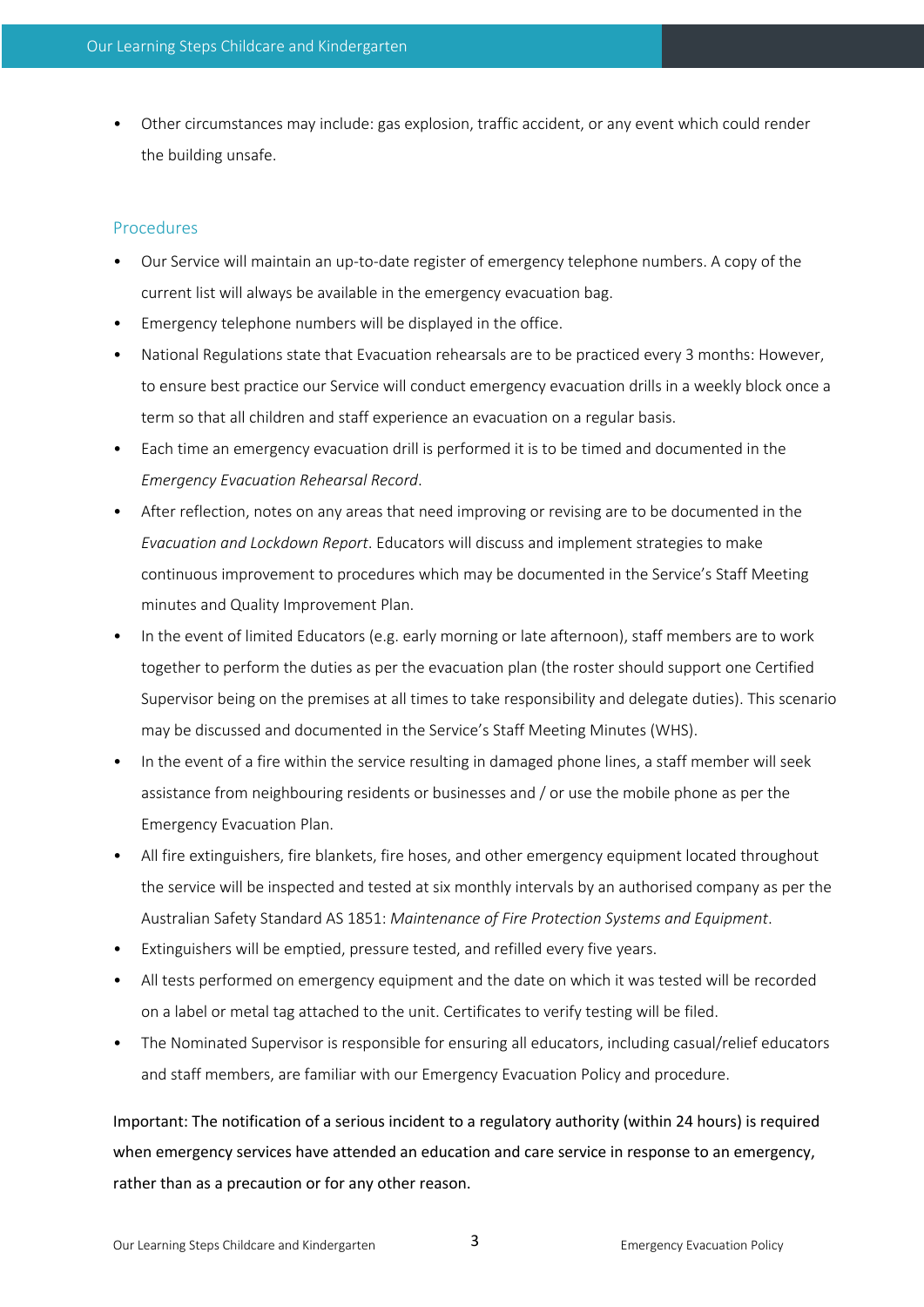• Other circumstances may include: gas explosion, traffic accident, or any event which could render the building unsafe.

### Procedures

- Our Service will maintain an up-to-date register of emergency telephone numbers. A copy of the current list will always be available in the emergency evacuation bag.
- Emergency telephone numbers will be displayed in the office.
- National Regulations state that Evacuation rehearsals are to be practiced every 3 months: However, to ensure best practice our Service will conduct emergency evacuation drills in a weekly block once a term so that all children and staff experience an evacuation on a regular basis.
- Each time an emergency evacuation drill is performed it is to be timed and documented in the *Emergency Evacuation Rehearsal Record*.
- After reflection, notes on any areas that need improving or revising are to be documented in the *Evacuation and Lockdown Report*. Educators will discuss and implement strategies to make continuous improvement to procedures which may be documented in the Service's Staff Meeting minutes and Quality Improvement Plan.
- In the event of limited Educators (e.g. early morning or late afternoon), staff members are to work together to perform the duties as per the evacuation plan (the roster should support one Certified Supervisor being on the premises at all times to take responsibility and delegate duties). This scenario may be discussed and documented in the Service's Staff Meeting Minutes (WHS).
- In the event of a fire within the service resulting in damaged phone lines, a staff member will seek assistance from neighbouring residents or businesses and / or use the mobile phone as per the Emergency Evacuation Plan.
- All fire extinguishers, fire blankets, fire hoses, and other emergency equipment located throughout the service will be inspected and tested at six monthly intervals by an authorised company as per the Australian Safety Standard AS 1851: *Maintenance of Fire Protection Systems and Equipment*.
- Extinguishers will be emptied, pressure tested, and refilled every five years.
- All tests performed on emergency equipment and the date on which it was tested will be recorded on a label or metal tag attached to the unit. Certificates to verify testing will be filed.
- The Nominated Supervisor is responsible for ensuring all educators, including casual/relief educators and staff members, are familiar with our Emergency Evacuation Policy and procedure.

Important: The notification of a serious incident to a regulatory authority (within 24 hours) is required when emergency services have attended an education and care service in response to an emergency, rather than as a precaution or for any other reason.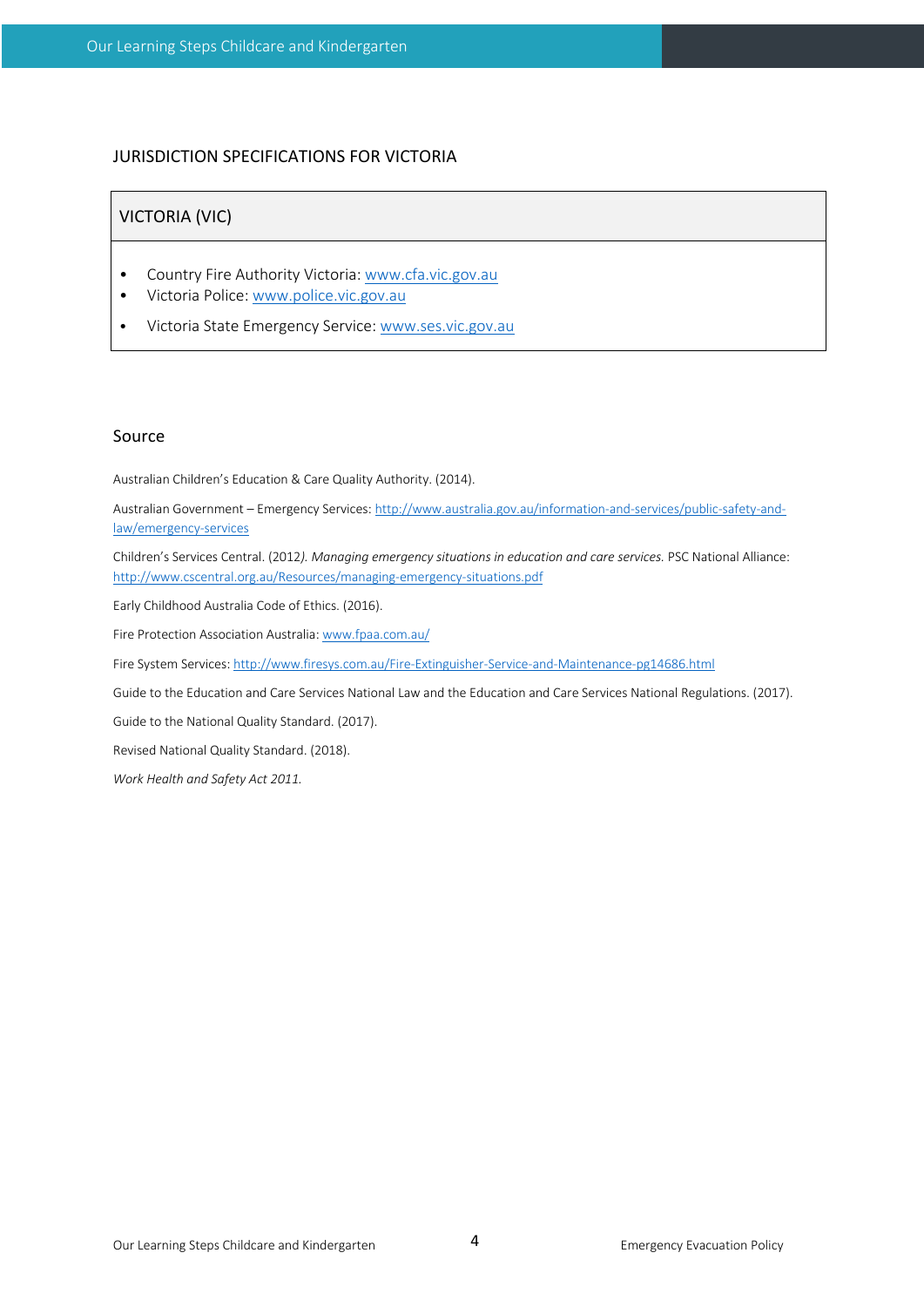## JURISDICTION SPECIFICATIONS FOR VICTORIA

#### VICTORIA (VIC)

- Country Fire Authority Victoria: www.cfa.vic.gov.au
- Victoria Police: www.police.vic.gov.au
- Victoria State Emergency Service: www.ses.vic.gov.au

#### Source

Australian Children's Education & Care Quality Authority. (2014).

Australian Government – Emergency Services: http://www.australia.gov.au/information-and-services/public-safety-andlaw/emergency-services

Children's Services Central. (2012*). Managing emergency situations in education and care services.* PSC National Alliance: http://www.cscentral.org.au/Resources/managing-emergency-situations.pdf

Early Childhood Australia Code of Ethics. (2016).

Fire Protection Association Australia: www.fpaa.com.au/

Fire System Services: http://www.firesys.com.au/Fire-Extinguisher-Service-and-Maintenance-pg14686.html

Guide to the Education and Care Services National Law and the Education and Care Services National Regulations. (2017).

Guide to the National Quality Standard. (2017).

Revised National Quality Standard. (2018).

*Work Health and Safety Act 2011.*